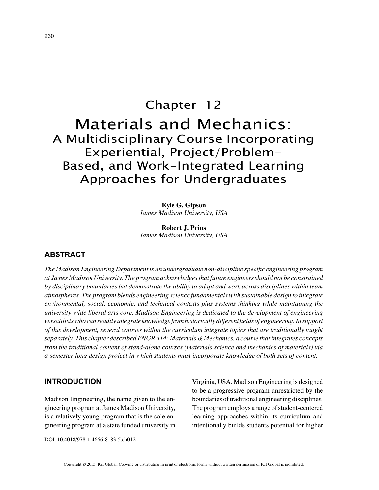# Chapter 12 Materials and Mechanics: A Multidisciplinary Course Incorporating Experiential, Project/Problem-Based, and Work-Integrated Learning Approaches for Undergraduates

**Kyle G. Gipson** *James Madison University, USA*

**Robert J. Prins** *James Madison University, USA*

## **ABSTRACT**

*The Madison Engineering Department is an undergraduate non-discipline specific engineering program at James Madison University. The program acknowledges that future engineers should not be constrained by disciplinary boundaries but demonstrate the ability to adapt and work across disciplines within team atmospheres. The program blends engineering science fundamentals with sustainable design to integrate environmental, social, economic, and technical contexts plus systems thinking while maintaining the university-wide liberal arts core. Madison Engineering is dedicated to the development of engineering versatilists who can readily integrate knowledge from historically different fields of engineering. In support of this development, several courses within the curriculum integrate topics that are traditionally taught separately. This chapter described ENGR 314: Materials & Mechanics, a course that integrates concepts from the traditional content of stand-alone courses (materials science and mechanics of materials) via a semester long design project in which students must incorporate knowledge of both sets of content.*

#### **INTRODUCTION**

Madison Engineering, the name given to the engineering program at James Madison University, is a relatively young program that is the sole engineering program at a state funded university in

Virginia, USA. Madison Engineering is designed to be a progressive program unrestricted by the boundaries of traditional engineering disciplines. The program employs a range of student-centered learning approaches within its curriculum and intentionally builds students potential for higher

DOI: 10.4018/978-1-4666-8183-5.ch012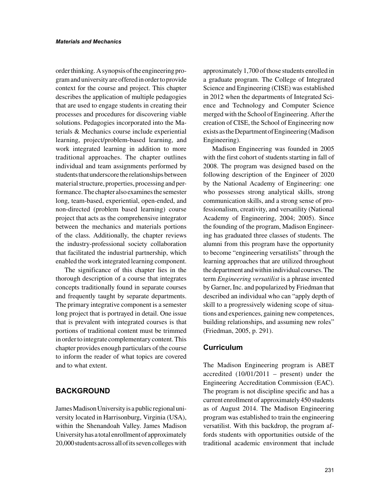order thinking. A synopsis of the engineering program and university are offered in order to provide context for the course and project. This chapter describes the application of multiple pedagogies that are used to engage students in creating their processes and procedures for discovering viable solutions. Pedagogies incorporated into the Materials & Mechanics course include experiential learning, project/problem-based learning, and work integrated learning in addition to more traditional approaches. The chapter outlines individual and team assignments performed by students that underscore the relationships between material structure, properties, processing and performance. The chapter also examines the semester long, team-based, experiential, open-ended, and non-directed (problem based learning) course project that acts as the comprehensive integrator between the mechanics and materials portions of the class. Additionally, the chapter reviews the industry-professional society collaboration that facilitated the industrial partnership, which enabled the work integrated learning component.

The significance of this chapter lies in the thorough description of a course that integrates concepts traditionally found in separate courses and frequently taught by separate departments. The primary integrative component is a semester long project that is portrayed in detail. One issue that is prevalent with integrated courses is that portions of traditional content must be trimmed in order to integrate complementary content. This chapter provides enough particulars of the course to inform the reader of what topics are covered and to what extent.

## **BACKGROUND**

James Madison University is a public regional university located in Harrisonburg, Virginia (USA), within the Shenandoah Valley. James Madison University has a total enrollment of approximately 20,000 students across all of its seven colleges with approximately 1,700 of those students enrolled in a graduate program. The College of Integrated Science and Engineering (CISE) was established in 2012 when the departments of Integrated Science and Technology and Computer Science merged with the School of Engineering. After the creation of CISE, the School of Engineering now exists as the Department of Engineering (Madison Engineering).

Madison Engineering was founded in 2005 with the first cohort of students starting in fall of 2008. The program was designed based on the following description of the Engineer of 2020 by the National Academy of Engineering: one who possesses strong analytical skills, strong communication skills, and a strong sense of professionalism, creativity, and versatility (National Academy of Engineering, 2004; 2005). Since the founding of the program, Madison Engineering has graduated three classes of students. The alumni from this program have the opportunity to become "engineering versatilists" through the learning approaches that are utilized throughout the department and within individual courses. The term *Engineering versatilist* is a phrase invented by Garner, Inc. and popularized by Friedman that described an individual who can "apply depth of skill to a progressively widening scope of situations and experiences, gaining new competences, building relationships, and assuming new roles" (Friedman, 2005, p. 291).

## **Curriculum**

The Madison Engineering program is ABET accredited (10/01/2011 – present) under the Engineering Accreditation Commission (EAC). The program is not discipline specific and has a current enrollment of approximately 450 students as of August 2014. The Madison Engineering program was established to train the engineering versatilist. With this backdrop, the program affords students with opportunities outside of the traditional academic environment that include